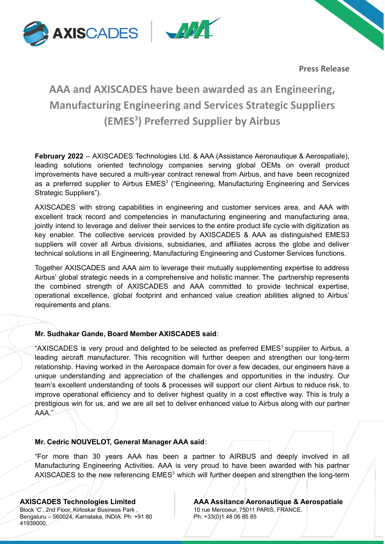



**Press Release**

# **AAA and AXISCADES have been awarded as an Engineering, Manufacturing Engineering and Services Strategic Suppliers (EMES 3 ) Preferred Supplier by Airbus**

**February 2022** – AXISCADES Technologies Ltd. & AAA (Assistance Aeronautique & Aerospatiale), leading solutions oriented technology companies serving global OEMs on overall product improvements have secured a multi-year contract renewal from Airbus, and have been recognized as a preferred supplier to Airbus EMES<sup>3</sup> ("Engineering, Manufacturing Engineering and Services Strategic Suppliers").

AXISCADES with strong capabilities in engineering and customer services area, and AAA with excellent track record and competencies in manufacturing engineering and manufacturing area, jointly intend to leverage and deliver their services to the entire product life cycle with digitization as key enabler. The collective services provided by AXISCADES & AAA as distinguished EMES3 suppliers will cover all Airbus divisions, subsidiaries, and affiliates across the globe and deliver technical solutions in all Engineering, Manufacturing Engineering and Customer Services functions.

Together AXISCADES and AAA aim to leverage their mutually supplementing expertise to address Airbus' global strategic needs in a comprehensive and holistic manner. The partnership represents the combined strength of AXISCADES and AAA committed to provide technical expertise, operational excellence, global footprint and enhanced value creation abilities aligned to Airbus' requirements and plans.

# **Mr. Sudhakar Gande, Board Member AXISCADES said**:

"AXISCADES is very proud and delighted to be selected as preferred EMES<sup>3</sup> supplier to Airbus, a leading aircraft manufacturer. This recognition will further deepen and strengthen our long-term relationship. Having worked in the Aerospace domain for over a few decades, our engineers have a unique understanding and appreciation of the challenges and opportunities in the industry. Our team's excellent understanding of tools & processes will support our client Airbus to reduce risk, to improve operational efficiency and to deliver highest quality in a cost effective way. This is truly a prestigious win for us, and we are all set to deliver enhanced value to Airbus along with our partner AAA."

# **Mr. Cedric NOUVELOT, General Manager AAA said**:

"For more than 30 years AAA has been a partner to AIRBUS and deeply involved in all Manufacturing Engineering Activities. AAA is very proud to have been awarded with his partner AXISCADES to the new referencing  $EMES<sup>3</sup>$  which will further deepen and strengthen the long-term

Block 'C', 2nd Floor, Kirloskar Business Park , Bengaluru – 560024, Karnataka, INDIA. Ph: +91 80 41939000.

**AXISCADES Technologies Limited AAA Assitance Aeronautique & Aerospatiale** 10 rue Mercoeur, 75011 PARIS, FRANCE. Ph: +33(0)1 48 06 85 85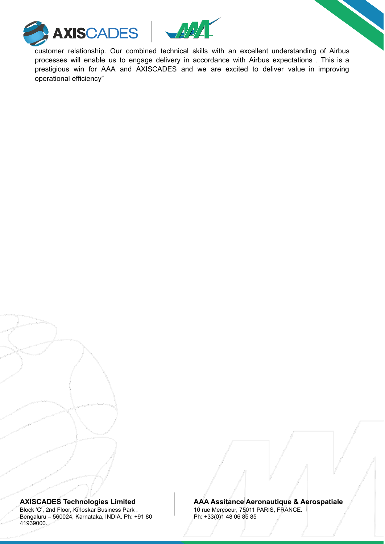



customer relationship. Our combined technical skills with an excellent understanding of Airbus processes will enable us to engage delivery in accordance with Airbus expectations . This is a prestigious win for AAA and AXISCADES and we are excited to deliver value in improving operational efficiency"

Block 'C', 2nd Floor, Kirloskar Business Park , Bengaluru – 560024, Karnataka, INDIA. Ph: +91 80 41939000.

### **AXISCADES Technologies Limited AAA Assitance Aeronautique & Aerospatiale** 10 rue Mercoeur, 75011 PARIS, FRANCE.

Ph: +33(0)1 48 06 85 85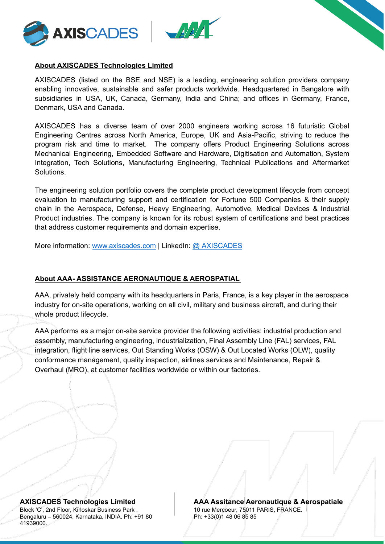





# **About AXISCADES Technologies Limited**

AXISCADES (listed on the BSE and NSE) is a leading, engineering solution providers company enabling innovative, sustainable and safer products worldwide. Headquartered in Bangalore with subsidiaries in USA, UK, Canada, Germany, India and China; and offices in Germany, France, Denmark, USA and Canada.

AXISCADES has a diverse team of over 2000 engineers working across 16 futuristic Global Engineering Centres across North America, Europe, UK and Asia-Pacific, striving to reduce the program risk and time to market. The company offers Product Engineering Solutions across Mechanical Engineering, Embedded Software and Hardware, Digitisation and Automation, System Integration, Tech Solutions, Manufacturing Engineering, Technical Publications and Aftermarket Solutions.

The engineering solution portfolio covers the complete product development lifecycle from concept evaluation to manufacturing support and certification for Fortune 500 Companies & their supply chain in the Aerospace, Defense, Heavy Engineering, Automotive, Medical Devices & Industrial Product industries. The company is known for its robust system of certifications and best practices that address customer requirements and domain expertise.

More information: [www.axiscades.com](http://www.axiscades.com) | LinkedIn: @ [AXISCADES](https://www.linkedin.com/company/axiscades)

# **About AAA- ASSISTANCE AERONAUTIQUE & AEROSPATIAL**

AAA, privately held company with its headquarters in Paris, France, is a key player in the aerospace industry for on-site operations, working on all civil, military and business aircraft, and during their whole product lifecycle.

AAA performs as a major on-site service provider the following activities: industrial production and assembly, manufacturing engineering, industrialization, Final Assembly Line (FAL) services, FAL integration, flight line services, Out Standing Works (OSW) & Out Located Works (OLW), quality conformance management, quality inspection, airlines services and Maintenance, Repair & Overhaul (MRO), at customer facilities worldwide or within our factories.

Block 'C', 2nd Floor, Kirloskar Business Park , Bengaluru – 560024, Karnataka, INDIA. Ph: +91 80 41939000.

**AXISCADES Technologies Limited AAA Assitance Aeronautique & Aerospatiale** 10 rue Mercoeur, 75011 PARIS, FRANCE. Ph: +33(0)1 48 06 85 85